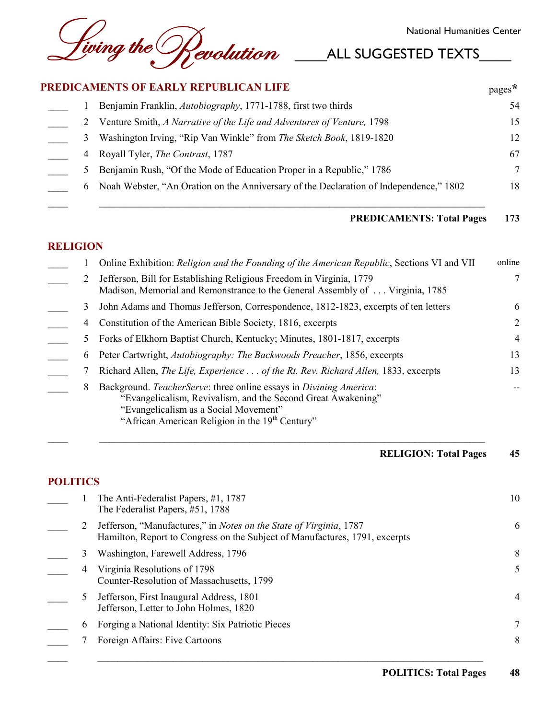## PREDICAMENTS OF EARLY REPUBLICAN LIFE

|   | <b>PREDICAMENTS OF EARLY REPUBLICAN LIFE</b>                                           | $\text{pages}^*$ |
|---|----------------------------------------------------------------------------------------|------------------|
|   | Benjamin Franklin, Autobiography, 1771-1788, first two thirds                          | 54               |
|   | Venture Smith, A Narrative of the Life and Adventures of Venture, 1798                 | 15               |
| 3 | Washington Irving, "Rip Van Winkle" from The Sketch Book, 1819-1820                    | 12               |
| 4 | Royall Tyler, <i>The Contrast</i> , 1787                                               | 67               |
|   | Benjamin Rush, "Of the Mode of Education Proper in a Republic," 1786                   | 7                |
| 6 | Noah Webster, "An Oration on the Anniversary of the Declaration of Independence," 1802 | 18               |

#### **PREDICAMENTS: Total Pages** 173

# **RELIGION**

|              | Online Exhibition: Religion and the Founding of the American Republic, Sections VI and VII                                                                                                                                                 | online         |
|--------------|--------------------------------------------------------------------------------------------------------------------------------------------------------------------------------------------------------------------------------------------|----------------|
|              | Jefferson, Bill for Establishing Religious Freedom in Virginia, 1779<br>Madison, Memorial and Remonstrance to the General Assembly of  Virginia, 1785                                                                                      | 7              |
|              | John Adams and Thomas Jefferson, Correspondence, 1812-1823, excerpts of ten letters                                                                                                                                                        | 6              |
| 4            | Constitution of the American Bible Society, 1816, excerpts                                                                                                                                                                                 | 2              |
|              | Forks of Elkhorn Baptist Church, Kentucky; Minutes, 1801-1817, excerpts                                                                                                                                                                    | $\overline{4}$ |
| $\mathbf{6}$ | Peter Cartwright, Autobiography: The Backwoods Preacher, 1856, excerpts                                                                                                                                                                    | 13             |
|              | Richard Allen, The Life, Experience of the Rt. Rev. Richard Allen, 1833, excerpts                                                                                                                                                          | 13             |
| 8            | Background. TeacherServe: three online essays in Divining America:<br>"Evangelicalism, Revivalism, and the Second Great Awakening"<br>"Evangelicalism as a Social Movement"<br>"African American Religion in the 19 <sup>th</sup> Century" |                |

#### **RELIGION: Total Pages** 45

# **POLITICS**

|   | The Anti-Federalist Papers, #1, 1787<br>The Federalist Papers, #51, 1788                                                                          | 10 |
|---|---------------------------------------------------------------------------------------------------------------------------------------------------|----|
|   | Jefferson, "Manufactures," in Notes on the State of Virginia, 1787<br>Hamilton, Report to Congress on the Subject of Manufactures, 1791, excerpts | 6  |
|   | Washington, Farewell Address, 1796                                                                                                                | 8  |
| 4 | Virginia Resolutions of 1798<br>Counter-Resolution of Massachusetts, 1799                                                                         | 5  |
|   | Jefferson, First Inaugural Address, 1801<br>Jefferson, Letter to John Holmes, 1820                                                                | 4  |
| 6 | Forging a National Identity: Six Patriotic Pieces                                                                                                 |    |
|   | Foreign Affairs: Five Cartoons                                                                                                                    | 8  |